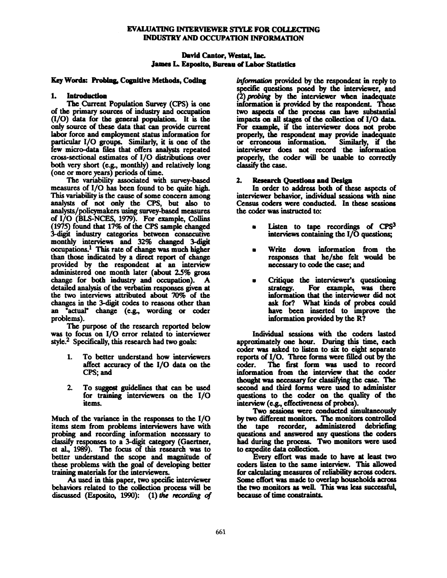## EVALUATING INTERVIEWER STYLE FOR COLLECTING INDUSTRY AND OCCUPATION INFORMATION

### David Cantor, Westat, inc. James L. Esposito, Bureau of Labor Statistics

#### Key Words: Probing, Cognitive Methods, Coding

## 1. Introduction

The Current Population Survey (CPS) is one of the primary sources of industry and occupation (1/0) data for the general population. It is the only source of these data that can provide current labor force and employment status information for particular I/O groups. Similarly, it is one of the few micro-data files that often analysts repeated cross-sectional estimates of I/O distributions over both very short (e.g., monthly) and relatively long (one or more years) periods of time.

The variability associated with survey-based measures of I/O has been found to be quite high. This variability is the cause of some concern among analysts of not only thc CPS, but also to analysts/policymakers using survey-based measures of I/O (BLS-NCES, 1979). For example, Collins (1975) found that 17% of the CPS sample changed 3-digit industry categories between consecutive monthly interviews and **32% changed** 3-digit  $occupations.<sup>1</sup>$  This rate of change was much higher than those indicated by a direct report of change provided by the respondent at an interview administered one month later (about 2.5% gross change for both industry and occupation). A detailed analysis of the verbatim responses given at the two interviews attributed about 70% of the changes in the 3-digit codes to reasons other than an "actual" change (e.g., wording or coder problems).

The purpose of the research reported below was to focus on I/O error related to interviewer style. $2$  Specifically, this research had two goals:

- **To** better understand how interviewers  $1.$ affect accuracy of the I/O data on the CPS; and
- 2. To suggest guidelines that can be used for training interviewers on the I/O items.

Much of the variance in the responses to the I/O items stem from problems interviewers have with probing and recording information necessary to classify responses to a 3-digit category (Gacrtner, et al., 1989). The focus of this research was to better understand the scope and magnitude of these problems with the goal of developing better training materials for the interviewers.

As used in this paper, two specific interviewer behaviors related to the collection process will be discussed (Esposito, 1990): (1) the recording of information provided by the respondent in reply to specific questions posed by the interviewer, and  $(2)$  probing by the interviewer when inadequate information is provided by the respondent. These two aspects of the process can have substantial impacts on all stages of the collection of  $I/O$  data. For czamplc, if the interviewer does not probe properly, the respondent may provide inadequate or erroneous information. Similarly, if the interviewer does not record the information properly, the coder will be unable to correctly **classify the case.** 

### 2. Research Ouestions and Design

In order to address both of these aspects of interviewer behavior, individual sessions with nine Census coders were conducted. In these sessions the coder was instructed to:

- Listen to tape recordings of  $CPS<sup>3</sup>$  $\bullet$ interviews containing the  $I/O$  questions;
- Write down information from the responses that he/she felt would be necessary to code the case; and
- Critique the interviewer's questioning **strategy. For example, was there information that the interviewer did not ask for? What kiads of prol~ could have been inserted to unprove the**  information provided by the R?

Individual sessions with the coders lasted approximately one hour. During this time, each coder was asked to listen to six to eight separate reports of I/O. Three forms were filled out by the The first form was used to record information from the interview that the coder thought was necessary for classifying the case. The second and third forms were used to administer questions to the coder on the quality of the interview (e.g., effectiveness of probes).

Two sessions were conducted simultaneously by two different monitors. The monitors controlled the tape recorder, administered debriefing questions and answered any questions the coders had during the process. Two monitors were used to expedite data collection.

Every effort was made to have at least two coders listen to the same interview. This allowed for calculating measures of reliability across coders. Some cffort was made to overlap households across the two monitors as welL This was less successful, because of time constraints.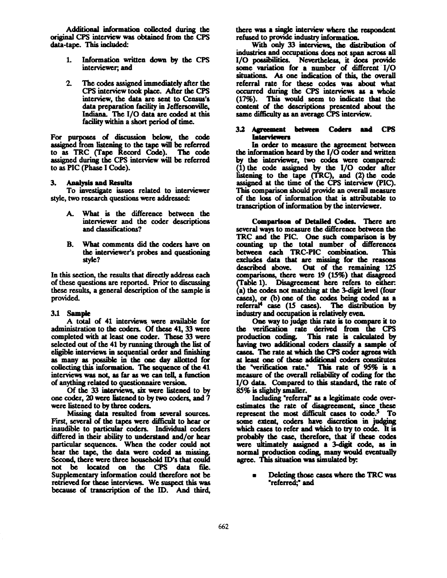Additional information collected during the original CPS imcrvicw was obtained from tbe CPS data-tape. This included:

- Information written down by the CPS  $1.$ interviewer, and
- $2<sup>1</sup>$ The codes assigned immediately after the CPS interview took place. After the CPS **interview, the data are sent to Census's**  data preparation facility in Jeffersonville, Indiana. The  $I/O$  data are coded at this facility within a short period of time.

For purposes of discussion below, the code assigned from listening to the tape will be referred to as TRC Crape Record Code). The code assigned during the CPS interview will be referred to as PIC (Phase I Code).

#### **3. Analysis and Results**

**To investigate issues related to interviewer style, two research questions were addrcsseA:** 

- A. What is the difference between the interviewer and the coder descriptions and classifications?
- B. What comments did the coders have on the interviewer's probes and questioning **stytc?**

In this section, the results that directly address each of these questions are reported. Prior to discussing these results, a general description of the sample is provided.

#### 3.1 Sample

A total of 41 interviews were available for administration to the coders. Of these 41, 33 were completed with at least one coder. These 33 were selected out of the 41 by running through the list of eligible interviews in sequential order and finishing as many as possible in the one day allotted for collecting this information. The sequence of the 41 interviews was not, as far as we can tell, a function of anything related to questionnaire version.

Of the 33 interviews, six were listened to by one coder, 20 were listened to by two coders, and 7 were listened to by three coders.

Missing data resulted from several sources. First, several of the tapes were difficult to hear or inaudible to particular coders. Individual coders differed in their ability to understand and/or hear particular sequences. When the coder could not hear the tape, the data were coded as missing. Second, there were three household ID's that could not be located on the CPS data file. Supplementary information could therefore not be retrieved for these interviews. We suspect this was because of transcription of the ID. And third,

there was a single interview where the respondent refused to provide industry information.

With only 33 interviews, the distribution of industries and occupations does not span across all I/O possibilities. Nevertheless, it does provide some variation for a number of different  $I/O$ situations. As one indication of this, thc overall referral rate for these codes was about what occurred during the CPS interviews as a whole (17%). This would sccm to indicate that tbc content of the descriptions presented about the same difficulty as an average CPS interview.

#### **3.2** AlFeement hemeea Coders aml CPS **Interviewers**

In order to measure the agreement between the information heard by the  $I/O$  coder and written by the interviewer, two codes were compared:  $(1)$  the code assigned by the I/O coder after **• " to the tape (TRC), and (2)the code**  assigned at the time of the CPS interview (PIC). This comparison should provide an overall measure **of thc loss of information that is attributable to transaiption of information by the interviewer.** 

**Comparison of Detailed Codes. There are several ways to measure the difference between the**  TRC and the PIC. One such comparison is by up total number of diHcrcnccs between each TRC-PIC combination. This excludes data that are missing for the reasons described above. Out of the remaining 125 **comparisons, there were 19 (15%) that disagreed**  (Table 1). Disagreement here refers to either: **(a) the codes not matching at the 3-digit level (four**  cases), or (b) one of the codes being coded as a referral<sup>4</sup> case (15 cases). The distribution by industry and occupation is relatively even.

One way to judge this rate is to compare it to the verification rate derived from the CPS production coding. This rate is calculated by having two additional coders classify a sample of cases. The rate at which the CPS coder agrees with at least one of these additional coders constitutes the "verification rate." This rate of 95% is **a**  measure of the overall reliability of coding for the I/O data. Compared to this standard, the rate of 85% is slightly smaller.

Including "referral" as a legitimate code overestimates the rate of disagreement, since these represent the most difficult cases to code.<sup>5</sup> To some extent, coders have discretion in judging which cases to refer and which to try to code. It is probably the case, therefore, that if these codes **were ultimately assianed a 3-disit code, as in**  normal production coding, many would eventually agree. This situation was simulated by:

**Deleting those cases where the TRC was**  $\blacksquare$ **"referred;" and**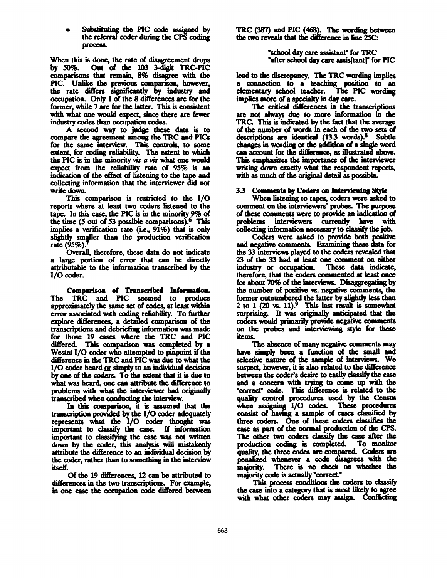Substituting the PIC code assigned by the referral coder during the CPS coding **process.** 

**When this is done, the rate of disagreement drops by 50%. Out of the 103 3-digit TRC-PIC comparisons that remain, 8% disagree with the PIC.** Unlike the previous comparison, however, <br>
the rate differs significantly by industry and<br>
comparison Orbid of the 9 differences are for the **occupation. Only I of the 8 differences arc for the**  former, while 7 are for **the latter.** This is consistent with what one would expect, since there are fewer industry codes than occupation codes.

**A** second way to judge thesc data is **to compare the agreement among the TRC and PICs**  for the same interview. This controls, to some **extent,** for coding reliability. **The extent** to which the PIC is in the minority vis a vis what one would expect from the reliability rate of  $95\%$  is an indication **of the effect of listening to the tape** and **collecting information that the interviewer did not**  write down.

This comparison is restricted to the  $I/O$ reports where at least two coders listened to the **tape. In** this case, **the PIC** is in the minority 9% **of**  the time (5 out of 53 possible comparisons).<sup>6</sup> This implies a verification rate (i.e.,  $91\%$ ) that is only slightly smaller than the production verification **rate (95%). 7** 

**Overall, therefore, these data do not indicate a** large portion of error that can be directly attributable to the information transcribed by the I/O coder.

Comparison d Transcribed Informatiom. **The TRC and PIC seemed to** produce approximately the same **set of codes, at** least within error associated with coding reliability. To further explore differences, a detailed comparison of the transcriptions and debriefing information was made for those 19 cases where **the TRC and PIC**  differed. This comparison was completed by **a**  Westat I/O coder who attempted to pinpoint if the difference in the TRC and PIC was due to what the  $I/O$  coder heard  $or$  simply to an individual decision</u> by one **of the coders. To the extent that it** is due **to**  what was heard, one can attribute the difference to problems with what **the** interviewer had originally transcribed when conducting the interview.

In this comparison, it is assumed that the transcription provided by the I/O coder adequately represents what the I/O coder thought was portant **to dassify the case. If** information important to classifying the case was not written down by the coder, this analysis will mistakenly attribute the difference to an individual decision by **the** coder, rather than to something in the interview itself.

**Of the 19 differences, 12 can be attn'buted to**  differences in the two transcriptions. For example, in one case the occupation code differed **between**  **TRC** (387) and PIC (468). The wording between the two reveals that the difference in line 25C:

> "school day care assistant" for **TRC** "after school day care assisitant]" for PIC

lead to the discrepancy. The TRC wording implies a connection to a teaching position to an elementary school teacher. The PIC wording elementary school teacher. implies more of a specialty in day care.<br>The critical differences in the transcriptions

**are not always due to more information in the TRC. This is indicated by the fact that the average**  of the number of words in each of the two sets of descriptions are identical  $(13.3 \text{ words})$ .<sup>8</sup> Subtle changes in wording or the addition of a single word can account for **the difference,** as illustrated above. This emphasizes the importance of the interviewer writing down exactly what the respondent reports, with as much of the original detail as possible.

### 3.3 Comments by Coders on Interviewing Style

When listening to tapes, coders were asked to comment on the interviewers' probes. The purpose of these comments were to provide an indication of problems interviewers currently have with collecting information necessary to classify the job.

Coders were asked to provide both positive and negative comments. **Examining these data for the 33** intervicws played to the coders revealed that 23 of the 33 had at least one comment on either industry or occupation. These data indicate, industry or occupation. **therefore, that the** coders conunented at least once for about 70% of the interviews. Disaggregating by **the amber of positive vs. negative comments, the**  former outnumbered **the latter** by slightly less than 2 to 1  $(20 \text{ vs. } 11).$ <sup>9</sup> This last result is somewhat surprising. It was originally anticipated that the coders would primarily provide negative comments on the probes and interviewing style for these **items.** 

The absence of many negative comments may have simply been a function of the small and selective nature of the sample of interviews. We suspect, however, it is also related to the difference between the coder's desire to easily classify the case and a concern with trying to come up with the **"corrcct" codc. This difference is relatcd to the**  quality control procedures used by the Census when assigning I/O codes. These procedures consist of having a sample of cases classified by three coders. One of these coders classifies the case as part of the normal production of the CPS. **The** other two coders classify the case **after the production coding is completed. To monitor**  quality, the three codes are compared. Coders are penalized whenever a code disagrees with the majority. There is no check on whether the There is no check on whether the majority code is actually "correct."

This process conditions **the** coders to classify the case into a category that is most likely to agree with what other coders may assign. Conflicting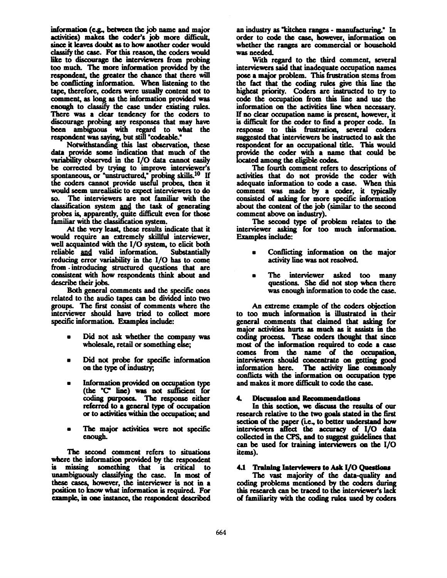information (e.g., between the job name and major activities) makes the coder's job more difficult, since it leaves doubt as to how another coder would classify the case. For this reason, the coders would like to discourage the interviewers from probing too much. The more information provided by the respondent, the greater the chance that there **will**  be conflicting information. When listening to the tape, therefore, coders were usually content not to comment, as long as the information provided was enough to classify the case under existing rules. There was a clear tendency for the coders to discourage probing any responses that may **have**  been ambiguous with regard to what the respondent was saying, but still "codcable."

Notwithstanding this last observation, these data provide some indication that much of the variability observed in the I/O data cannot easily be corrected by trying to improve interviewer's **prob if**  rs cannot provide useful probes, then it would seem unrealistic to expect interviewers to do so. The interviewers arc not familiar with the classification system and the task of generating probes is, apparently, quite difficult even for those familiar with the classification system.

At the very least, these results indicate that it would require an extremely skillful interviewer, well acquainted with the  $I/O$  system, to elicit both reliable and valid information. Substantially reliable and valid information. reducing error variability in the I/O has to come. from .introducing structured questions that arc consistent with how respondents think about and describe their jobs.

Both general comments and the specific ones related to the audio tapes can be divided into two groups. The first consist of comments where the interviewer should have tried to collect more specific information. Examples indude:

- Did not ask whether the company was wholesale, retail or something else;
- **Did not probe for specific information**  on the type of industry;
- Information provided on occupation type (the "C" line) was not sufficient for coding purposes. The response either referred to a general type of occupation or to activities within the occupation; and
- The major activities were not specific cnough.

The second comment refers to situations where the information provided by the respondent is missing something that is critical to unambiguously classifying the case. In most of these cases, however, the interviewer is not in a position to know what information is required. For example, in one instance, the respondent described

an industry as "kitchen ranges - manufacturing." In order to code the case, however, information on whether the ranges are commercial or household was needed.

With regard to the third comment, several interviewers said that inadequate occupation names pose a major problem. This frustration stems from the fact that the coding rules give this line the highest priority. Coders are instructed to try to code the occupation from this line and use the information on the activities line when necessary. If no clear occupation name is present, however, it is difficult for the coder to find a proper code. In response to this frustration, several coders suggested that interviewers be instructed to ask the respondent for an occupational title. This would provide the coder with a name that could be located among the eligible codes.

The fourth comment refers to descriptions of activities that do not provide the coder with adequate information to code a case. When this comment was made by a coder, it typically consisted of asking for more specific information about the content of the job (similar to the second comment above on industry).

The second type of problem relates to the interviewer asking for too much informatioa. Examples include:

- Conflicting information on the major activity line was not resolved.
- The interviewer asked too many questions. She did not stop when there was enough information to code the case.

An extreme example of the coders objection to too much information is illustrated in their general comments that claimed that asking for major activities hurts as much as it assists in the coding process. These coders thought that since most of the information required to code a case comes from the name of the occupation, interviewers should coaccntratc on getting good information here. The activity line commonly conflicts with the information on occupation type and makes it more difficult to code the case.

# **4.** Discussion and Recommendations

In this section, we discuss the results of our research relative to the two goals stated in the first section of the paper (i.e., to better understand how interviewers affect the accuracy of I/O data **collected in the CPS, and to susscst guidelines that**  can be used for training interviewers on the I/O **items).** 

# 4.1 Training Interviewers to Ask I/O Questions

The vast majority of the data-quality and coding problems mentioned by the coders during this research can be traced to the interviewer's lack of familiarity with the coding rules used by coders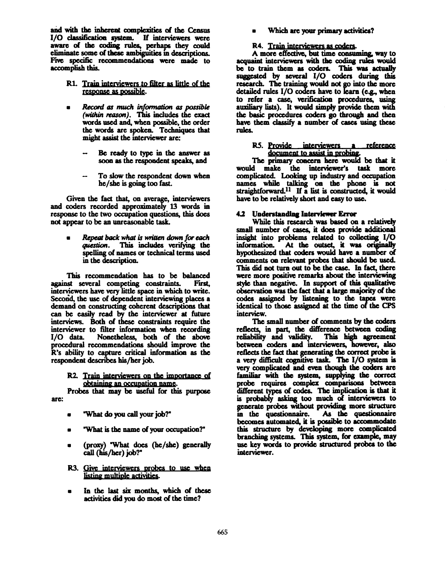and with the inherent complexities of the Census I/O classification system. If interviewers were aware of the coding rules, perhaps they could eliminate some of these ambiguities in descriptions. Five specific recommendations were made to accomplish this.

- R1. Train interviewers to filter as little of the response as possible.
- Record as much information as possible (within reason). This includes the exact words used and, when possible, the order the words are spoken. Techniques that might assist the interviewer are:
	- Be ready to type in the answer as soon as the respondent speaks, and
	- To slow the respondent down when he/she is going too fast.

Given the fact that, on average, interviewers and coders recorded approximately 13 words in response to the two occupation questions, this does not appear to be an unreasonable task.

Repeat back what is written down for each question. This includes verifying the spelling of names or technical terms used in the description.

This recommendation has to be balanced against several competing constraints. First. interviewers have very little space in which to write. Second, the use of dependent interviewing places a demand on constructing coherent descriptions that can be easily read by the interviewer at future interviews. Both of these constraints require the interviewer to filter information when recording Nonetheless, both of the above  $I/O$  data. procedural recommendations should improve the R's ability to capture critical information as the respondent describes his/her job.

R2. Train interviewers on the importance of obtaining an occupation name.

Probes that may be useful for this purpose are:

- "What do you call your job?"
- "What is the name of your occupation?"
- (proxy) "What does (he/she) generally call (his/her) job?"
- R3. Give interviewers probes to use when listing multiple activities.
- In the last six months, which of these activities did you do most of the time?

Which are your primary activities?

#### R4. Train interviewers as coders.

A more effective, but time consuming, way to acquaint interviewers with the coding rules would be to train them as coders. This was actually suggested by several I/O coders during this research. The training would not go into the more detailed rules I/O coders have to learn (e.g., when to refer a case, verification procedures, using auxiliary lists). It would simply provide them with the basic procedures coders go through and then have them classify a number of cases using these rules.

R5. Provide interviewers a reference<br>document to assist in probing.

The primary concern here would be that it would make the interviewer's task more complicated. Looking up industry and occupation names while talking on the phone is not<br>straightforward.<sup>11</sup> If a list is constructed, it would have to be relatively short and easy to use.

### 4.2 Understanding Interviewer Error

While this research was based on a relatively small number of cases, it does provide additional insight into problems related to collecting I/O At the outset, it was originally information. hypothesized that coders would have a number of comments on relevant probes that should be used. This did not turn out to be the case. In fact, there were more positive remarks about the interviewing style than negative. In support of this qualitative observation was the fact that a large majority of the codes assigned by listening to the tapes were identical to those assigned at the time of the CPS interview.

The small number of comments by the coders reflects, in part, the difference between coding reliability and validity. This high agreement between coders and interviewers, however, also reflects the fact that generating the correct probe is a very difficult cognitive task. The I/O system is very complicated and even though the coders are familiar with the system, supplying the correct probe requires complex comparisons between different types of codes. The implication is that it is probably asking too much of interviewers to generate probes without providing more structure in the questionnaire. As the questionnaire becomes automated, it is possible to accommodate this structure by developing more complicated branching systems. This system, for example, may use key words to provide structured probes to the interviewer.